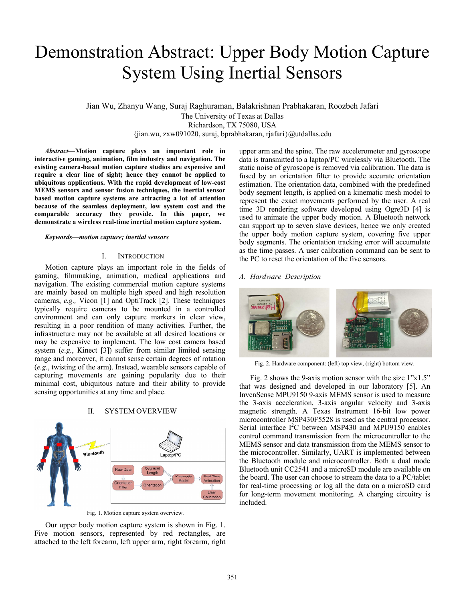# **Demonstration Abstract: Upper Body Motion Capture System Using Inertial Sensors**

Jian Wu, Zhanyu Wang, Suraj Raghuraman, Balakrishnan Prabhakaran, Roozbeh Jafari The University of Texas at Dallas Richardson, TX 75080, USA {jian.wu, zxw091020, suraj, bprabhakaran, rjafari}@utdallas.edu

Abstract-Motion capture plays an important role in interactive gaming, animation, film industry and navigation. The existing camera-based motion capture studios are expensive and require a clear line of sight; hence they cannot be applied to ubiquitous applications. With the rapid development of low-cost MEMS sensors and sensor fusion techniques, the inertial sensor based motion capture systems are attracting a lot of attention because of the seamless deployment, low system cost and the comparable accuracy they provide. In this paper, we demonstrate a wireless real-time inertial motion capture system.

#### Keywords-motion capture; inertial sensors

#### **INTRODUCTION**  $\mathbf{I}$

Motion capture plays an important role in the fields of gaming, filmmaking, animation, medical applications and navigation. The existing commercial motion capture systems are mainly based on multiple high speed and high resolution cameras, e.g., Vicon [1] and OptiTrack [2]. These techniques typically require cameras to be mounted in a controlled environment and can only capture markers in clear view, resulting in a poor rendition of many activities. Further, the infrastructure may not be available at all desired locations or may be expensive to implement. The low cost camera based system  $(e.g.,$  Kinect [3]) suffer from similar limited sensing range and moreover, it cannot sense certain degrees of rotation (e.g., twisting of the arm). Instead, wearable sensors capable of capturing movements are gaining popularity due to their minimal cost, ubiquitous nature and their ability to provide sensing opportunities at any time and place.

#### $\Pi$ . **SYSTEM OVERVIEW**



Fig. 1. Motion capture system overview.

Our upper body motion capture system is shown in Fig. 1. Five motion sensors, represented by red rectangles, are attached to the left forearm, left upper arm, right forearm, right upper arm and the spine. The raw accelerometer and gyroscope data is transmitted to a laptop/PC wirelessly via Bluetooth. The static noise of gyroscope is removed via calibration. The data is fused by an orientation filter to provide accurate orientation estimation. The orientation data, combined with the predefined body segment length, is applied on a kinematic mesh model to represent the exact movements performed by the user. A real time 3D rendering software developed using Ogre3D [4] is used to animate the upper body motion. A Bluetooth network can support up to seven slave devices, hence we only created the upper body motion capture system, covering five upper body segments. The orientation tracking error will accumulate as the time passes. A user calibration command can be sent to the PC to reset the orientation of the five sensors.

# A. Hardware Description



Fig. 2. Hardware component: (left) top view, (right) bottom view.

Fig. 2 shows the 9-axis motion sensor with the size  $1"x1.5"$ that was designed and developed in our laboratory [5]. An InvenSense MPU9150 9-axis MEMS sensor is used to measure the 3-axis acceleration, 3-axis angular velocity and 3-axis magnetic strength. A Texas Instrument 16-bit low power microcontroller MSP430F5528 is used as the central processor. Serial interface I<sup>2</sup>C between MSP430 and MPU9150 enables control command transmission from the microcontroller to the MEMS sensor and data transmission from the MEMS sensor to the microcontroller. Similarly, UART is implemented between the Bluetooth module and microcontroller. Both a dual mode Bluetooth unit CC2541 and a microSD module are available on the board. The user can choose to stream the data to a PC/tablet for real-time processing or log all the data on a microSD card for long-term movement monitoring. A charging circuitry is included.